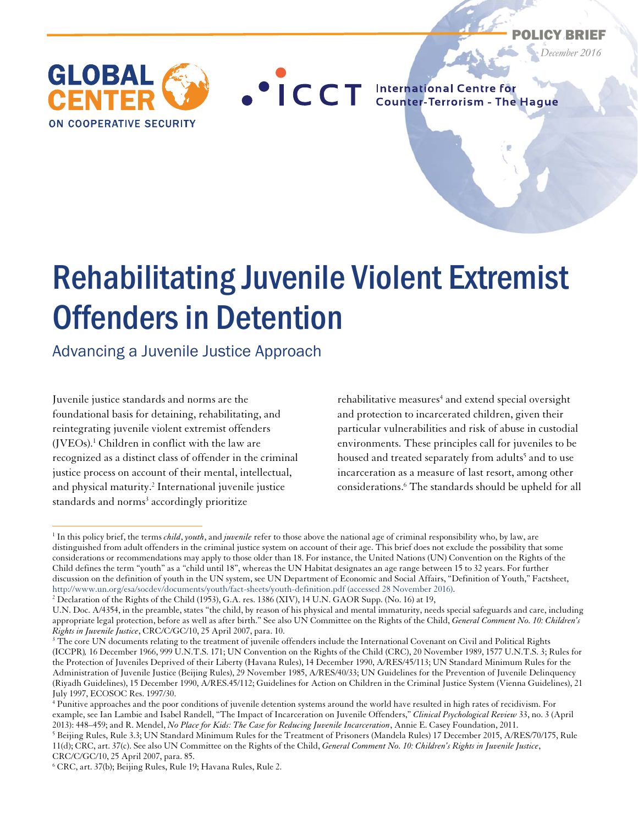

*December 2016* 



**OCCT** International Centre for

# Rehabilitating Juvenile Violent Extremist Offenders in Detention

Advancing a Juvenile Justice Approach

Juvenile justice standards and norms are the foundational basis for detaining, rehabilitating, and reintegrating juvenile violent extremist offenders (JVEOs).<sup>1</sup> Children in conflict with the law are recognized as a distinct class of offender in the criminal justice process on account of their mental, intellectual, and physical maturity.2 International juvenile justice standards and norms<sup>3</sup> accordingly prioritize

 $\overline{a}$ 

rehabilitative measures<sup>4</sup> and extend special oversight and protection to incarcerated children, given their particular vulnerabilities and risk of abuse in custodial environments. These principles call for juveniles to be housed and treated separately from adults<sup>5</sup> and to use incarceration as a measure of last resort, among other considerations.6 The standards should be upheld for all

<sup>1</sup> In this policy brief, the terms *child*, *youth*, and *juvenile* refer to those above the national age of criminal responsibility who, by law, are distinguished from adult offenders in the criminal justice system on account of their age. This brief does not exclude the possibility that some considerations or recommendations may apply to those older than 18. For instance, the United Nations (UN) Convention on the Rights of the Child defines the term "youth" as a "child until 18", whereas the UN Habitat designates an age range between 15 to 32 years. For further discussion on the definition of youth in the UN system, see UN Department of Economic and Social Affairs, "Definition of Youth," Factsheet, http://www.un.org/esa/socdev/documents/youth/fact-sheets/youth-definition.pdf (accessed 28 November 2016). 2

<sup>&</sup>lt;sup>2</sup> Declaration of the Rights of the Child (1953), G.A. res. 1386 (XIV), 14 U.N. GAOR Supp. (No. 16) at 19,

U.N. Doc. A/4354, in the preamble, states "the child, by reason of his physical and mental immaturity, needs special safeguards and care, including appropriate legal protection, before as well as after birth." See also UN Committee on the Rights of the Child, *General Comment No. 10: Children's Rights in Juvenile Justice*, CRC/C/GC/10, 25 April 2007, para. 10. 3

 $3$  The core UN documents relating to the treatment of juvenile offenders include the International Covenant on Civil and Political Rights (ICCPR)*,* 16 December 1966, 999 U.N.T.S. 171; UN Convention on the Rights of the Child (CRC), 20 November 1989, 1577 U.N.T.S. 3; Rules for the Protection of Juveniles Deprived of their Liberty (Havana Rules), 14 December 1990, A/RES/45/113; UN Standard Minimum Rules for the Administration of Juvenile Justice (Beijing Rules), 29 November 1985, A/RES/40/33; UN Guidelines for the Prevention of Juvenile Delinquency (Riyadh Guidelines), 15 December 1990, A/RES.45/112; Guidelines for Action on Children in the Criminal Justice System (Vienna Guidelines), 21 July 1997, ECOSOC Res. 1997/30.

<sup>4</sup> Punitive approaches and the poor conditions of juvenile detention systems around the world have resulted in high rates of recidivism. For example, see Ian Lambie and Isabel Randell, "The Impact of Incarceration on Juvenile Offenders," *Clinical Psychological Review* 33, no. 3 (April 2013): 448–459; and R. Mendel, *No Place for Kids: The Case for Reducing Juvenile Incarceration*, Annie E. Casey Foundation, 2011. 5

<sup>&</sup>lt;sup>5</sup> Beijing Rules, Rule 3.3; UN Standard Minimum Rules for the Treatment of Prisoners (Mandela Rules) 17 December 2015, A/RES/70/175, Rule 11(d); CRC, art. 37(c). See also UN Committee on the Rights of the Child, *General Comment No. 10: Children's Rights in Juvenile Justice*, CRC/C/GC/10, 25 April 2007, para. 85.

<sup>6</sup> CRC, art. 37(b); Beijing Rules, Rule 19; Havana Rules, Rule 2.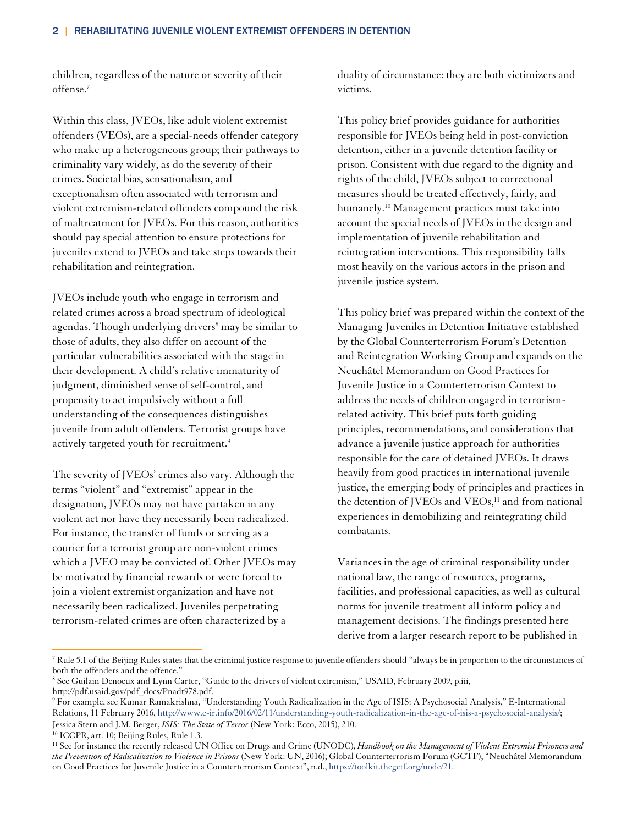children, regardless of the nature or severity of their offense.7

Within this class, JVEOs, like adult violent extremist offenders (VEOs), are a special-needs offender category who make up a heterogeneous group; their pathways to criminality vary widely, as do the severity of their crimes. Societal bias, sensationalism, and exceptionalism often associated with terrorism and violent extremism-related offenders compound the risk of maltreatment for JVEOs. For this reason, authorities should pay special attention to ensure protections for juveniles extend to JVEOs and take steps towards their rehabilitation and reintegration.

JVEOs include youth who engage in terrorism and related crimes across a broad spectrum of ideological agendas. Though underlying drivers<sup>8</sup> may be similar to those of adults, they also differ on account of the particular vulnerabilities associated with the stage in their development. A child's relative immaturity of judgment, diminished sense of self-control, and propensity to act impulsively without a full understanding of the consequences distinguishes juvenile from adult offenders. Terrorist groups have actively targeted youth for recruitment.<sup>9</sup>

The severity of JVEOs' crimes also vary. Although the terms "violent" and "extremist" appear in the designation, JVEOs may not have partaken in any violent act nor have they necessarily been radicalized. For instance, the transfer of funds or serving as a courier for a terrorist group are non-violent crimes which a JVEO may be convicted of. Other JVEOs may be motivated by financial rewards or were forced to join a violent extremist organization and have not necessarily been radicalized. Juveniles perpetrating terrorism-related crimes are often characterized by a

duality of circumstance: they are both victimizers and victims.

This policy brief provides guidance for authorities responsible for JVEOs being held in post-conviction detention, either in a juvenile detention facility or prison. Consistent with due regard to the dignity and rights of the child, JVEOs subject to correctional measures should be treated effectively, fairly, and humanely.10 Management practices must take into account the special needs of JVEOs in the design and implementation of juvenile rehabilitation and reintegration interventions. This responsibility falls most heavily on the various actors in the prison and juvenile justice system.

This policy brief was prepared within the context of the Managing Juveniles in Detention Initiative established by the Global Counterterrorism Forum's Detention and Reintegration Working Group and expands on the Neuchâtel Memorandum on Good Practices for Juvenile Justice in a Counterterrorism Context to address the needs of children engaged in terrorismrelated activity. This brief puts forth guiding principles, recommendations, and considerations that advance a juvenile justice approach for authorities responsible for the care of detained JVEOs. It draws heavily from good practices in international juvenile justice, the emerging body of principles and practices in the detention of JVEOs and VEOs,<sup>11</sup> and from national experiences in demobilizing and reintegrating child combatants.

Variances in the age of criminal responsibility under national law, the range of resources, programs, facilities, and professional capacities, as well as cultural norms for juvenile treatment all inform policy and management decisions. The findings presented here derive from a larger research report to be published in

 $\overline{a}$ <sup>7</sup> Rule 5.1 of the Beijing Rules states that the criminal justice response to juvenile offenders should "always be in proportion to the circumstances of both the offenders and the offence."

<sup>8</sup> See Guilain Denoeux and Lynn Carter, "Guide to the drivers of violent extremism," USAID, February 2009, p.iii, http://pdf.usaid.gov/pdf\_docs/Pnadt978.pdf.

<sup>9</sup> For example, see Kumar Ramakrishna, "Understanding Youth Radicalization in the Age of ISIS: A Psychosocial Analysis," E-International Relations, 11 February 2016, http://www.e-ir.info/2016/02/11/understanding-youth-radicalization-in-the-age-of-isis-a-psychosocial-analysis/; Jessica Stern and J.M. Berger, *ISIS: The State of Terror* (New York: Ecco, 2015), 210. 10 ICCPR, art. 10; Beijing Rules, Rule 1.3.

<sup>&</sup>lt;sup>11</sup> See for instance the recently released UN Office on Drugs and Crime (UNODC), *Handbook on the Management of Violent Extremist Prisoners and the Prevention of Radicalization to Violence in Prisons* (New York: UN, 2016); Global Counterterrorism Forum (GCTF), "Neuchâtel Memorandum on Good Practices for Juvenile Justice in a Counterterrorism Context", n.d., https://toolkit.thegctf.org/node/21.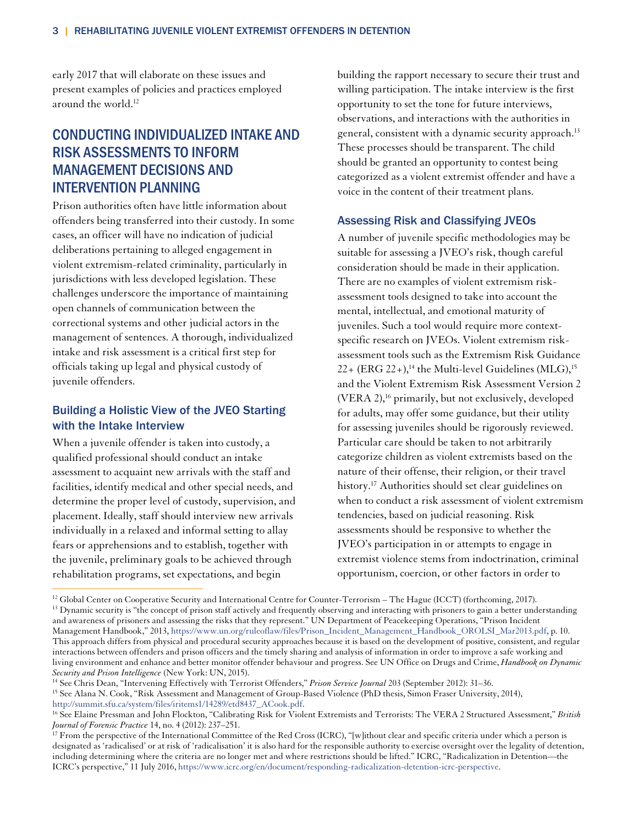early 2017 that will elaborate on these issues and present examples of policies and practices employed around the world.<sup>12</sup>

# CONDUCTING INDIVIDUALIZED INTAKE AND RISK ASSESSMENTS TO INFORM MANAGEMENT DECISIONS AND INTERVENTION PLANNING

Prison authorities often have little information about offenders being transferred into their custody. In some cases, an officer will have no indication of judicial deliberations pertaining to alleged engagement in violent extremism-related criminality, particularly in jurisdictions with less developed legislation. These challenges underscore the importance of maintaining open channels of communication between the correctional systems and other judicial actors in the management of sentences. A thorough, individualized intake and risk assessment is a critical first step for officials taking up legal and physical custody of juvenile offenders.

## Building a Holistic View of the JVEO Starting with the Intake Interview

When a juvenile offender is taken into custody, a qualified professional should conduct an intake assessment to acquaint new arrivals with the staff and facilities, identify medical and other special needs, and determine the proper level of custody, supervision, and placement. Ideally, staff should interview new arrivals individually in a relaxed and informal setting to allay fears or apprehensions and to establish, together with the juvenile, preliminary goals to be achieved through rehabilitation programs, set expectations, and begin

building the rapport necessary to secure their trust and willing participation. The intake interview is the first opportunity to set the tone for future interviews, observations, and interactions with the authorities in general, consistent with a dynamic security approach.<sup>13</sup> These processes should be transparent. The child should be granted an opportunity to contest being categorized as a violent extremist offender and have a voice in the content of their treatment plans.

#### Assessing Risk and Classifying JVEOs

A number of juvenile specific methodologies may be suitable for assessing a JVEO's risk, though careful consideration should be made in their application. There are no examples of violent extremism riskassessment tools designed to take into account the mental, intellectual, and emotional maturity of juveniles. Such a tool would require more contextspecific research on JVEOs. Violent extremism riskassessment tools such as the Extremism Risk Guidance  $22+$  (ERG  $22+$ ),<sup>14</sup> the Multi-level Guidelines (MLG),<sup>15</sup> and the Violent Extremism Risk Assessment Version 2 (VERA 2),<sup>16</sup> primarily, but not exclusively, developed for adults, may offer some guidance, but their utility for assessing juveniles should be rigorously reviewed. Particular care should be taken to not arbitrarily categorize children as violent extremists based on the nature of their offense, their religion, or their travel history.<sup>17</sup> Authorities should set clear guidelines on when to conduct a risk assessment of violent extremism tendencies, based on judicial reasoning. Risk assessments should be responsive to whether the JVEO's participation in or attempts to engage in extremist violence stems from indoctrination, criminal opportunism, coercion, or other factors in order to

 $\overline{a}$ <sup>12</sup> Global Center on Cooperative Security and International Centre for Counter-Terrorism – The Hague (ICCT) (forthcoming, 2017).<br><sup>13</sup> Dynamic security is "the concept of prison staff actively and frequently observing and and awareness of prisoners and assessing the risks that they represent." UN Department of Peacekeeping Operations, "Prison Incident Management Handbook," 2013, https://www.un.org/ruleoflaw/files/Prison\_Incident\_Management\_Handbook\_OROLSI\_Mar2013.pdf, p. 10. This approach differs from physical and procedural security approaches because it is based on the development of positive, consistent, and regular interactions between offenders and prison officers and the timely sharing and analysis of information in order to improve a safe working and living environment and enhance and better monitor offender behaviour and progress. See UN Office on Drugs and Crime, *Handbook on Dynamic Security and Prison Intelligence* (New York: UN, 2015).

<sup>&</sup>lt;sup>15</sup> See Alana N. Cook, "Risk Assessment and Management of Group-Based Violence (PhD thesis, Simon Fraser University, 2014), http://summit.sfu.ca/system/files/iritems1/14289/etd8437\_ACook.pdf.

<sup>&</sup>lt;sup>16</sup> See Elaine Pressman and John Flockton, "Calibrating Risk for Violent Extremists and Terrorists: The VERA 2 Structured Assessment," *British Journal of Forensic Practice* 14, no. 4 (2012): 237–251.<br><sup>17</sup> From the perspective of the International Committee of the Red Cross (ICRC), "[w]ithout clear and specific criteria under which a person is

designated as 'radicalised' or at risk of 'radicalisation' it is also hard for the responsible authority to exercise oversight over the legality of detention, including determining where the criteria are no longer met and where restrictions should be lifted." ICRC, "Radicalization in Detention—the ICRC's perspective," 11 July 2016, https://www.icrc.org/en/document/responding-radicalization-detention-icrc-perspective.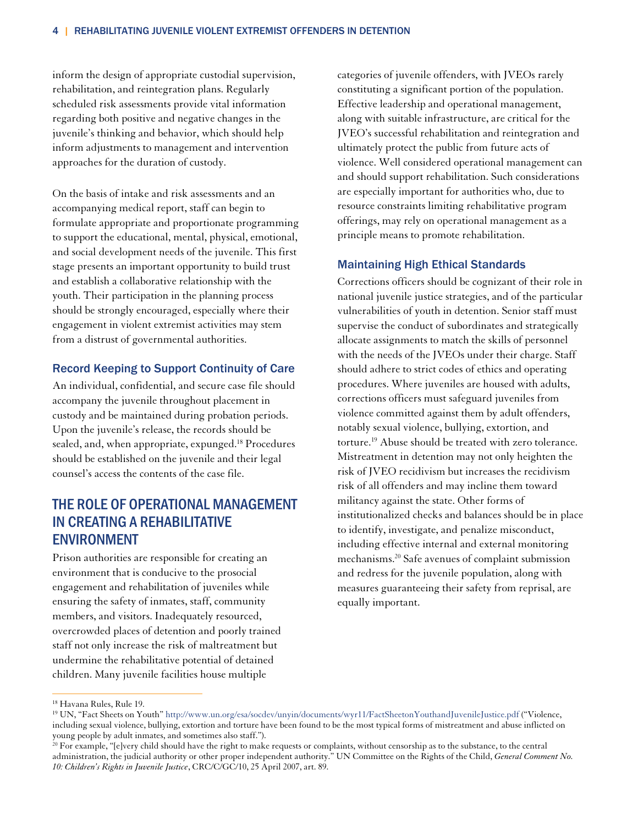inform the design of appropriate custodial supervision, rehabilitation, and reintegration plans. Regularly scheduled risk assessments provide vital information regarding both positive and negative changes in the juvenile's thinking and behavior, which should help inform adjustments to management and intervention approaches for the duration of custody.

On the basis of intake and risk assessments and an accompanying medical report, staff can begin to formulate appropriate and proportionate programming to support the educational, mental, physical, emotional, and social development needs of the juvenile. This first stage presents an important opportunity to build trust and establish a collaborative relationship with the youth. Their participation in the planning process should be strongly encouraged, especially where their engagement in violent extremist activities may stem from a distrust of governmental authorities.

#### Record Keeping to Support Continuity of Care

An individual, confidential, and secure case file should accompany the juvenile throughout placement in custody and be maintained during probation periods. Upon the juvenile's release, the records should be sealed, and, when appropriate, expunged.18 Procedures should be established on the juvenile and their legal counsel's access the contents of the case file.

# THE ROLE OF OPERATIONAL MANAGEMENT IN CREATING A REHABILITATIVE ENVIRONMENT

Prison authorities are responsible for creating an environment that is conducive to the prosocial engagement and rehabilitation of juveniles while ensuring the safety of inmates, staff, community members, and visitors. Inadequately resourced, overcrowded places of detention and poorly trained staff not only increase the risk of maltreatment but undermine the rehabilitative potential of detained children. Many juvenile facilities house multiple

categories of juvenile offenders, with JVEOs rarely constituting a significant portion of the population. Effective leadership and operational management, along with suitable infrastructure, are critical for the JVEO's successful rehabilitation and reintegration and ultimately protect the public from future acts of violence. Well considered operational management can and should support rehabilitation. Such considerations are especially important for authorities who, due to resource constraints limiting rehabilitative program offerings, may rely on operational management as a principle means to promote rehabilitation.

#### Maintaining High Ethical Standards

Corrections officers should be cognizant of their role in national juvenile justice strategies, and of the particular vulnerabilities of youth in detention. Senior staff must supervise the conduct of subordinates and strategically allocate assignments to match the skills of personnel with the needs of the JVEOs under their charge. Staff should adhere to strict codes of ethics and operating procedures. Where juveniles are housed with adults, corrections officers must safeguard juveniles from violence committed against them by adult offenders, notably sexual violence, bullying, extortion, and torture.<sup>19</sup> Abuse should be treated with zero tolerance. Mistreatment in detention may not only heighten the risk of JVEO recidivism but increases the recidivism risk of all offenders and may incline them toward militancy against the state. Other forms of institutionalized checks and balances should be in place to identify, investigate, and penalize misconduct, including effective internal and external monitoring mechanisms.20 Safe avenues of complaint submission and redress for the juvenile population, along with measures guaranteeing their safety from reprisal, are equally important.

<sup>18</sup> Havana Rules, Rule 19.

<sup>19</sup> UN, "Fact Sheets on Youth" http://www.un.org/esa/socdev/unyin/documents/wyr11/FactSheetonYouthandJuvenileJustice.pdf ("Violence, including sexual violence, bullying, extortion and torture have been found to be the most typical forms of mistreatment and abuse inflicted on young people by adult inmates, and sometimes also staff.").<br><sup>20</sup> For example, "[e]very child should have the right to make requests or complaints, without censorship as to the substance, to the central

administration, the judicial authority or other proper independent authority." UN Committee on the Rights of the Child, *General Comment No. 10: Children's Rights in Juvenile Justice*, CRC/C/GC/10, 25 April 2007, art. 89.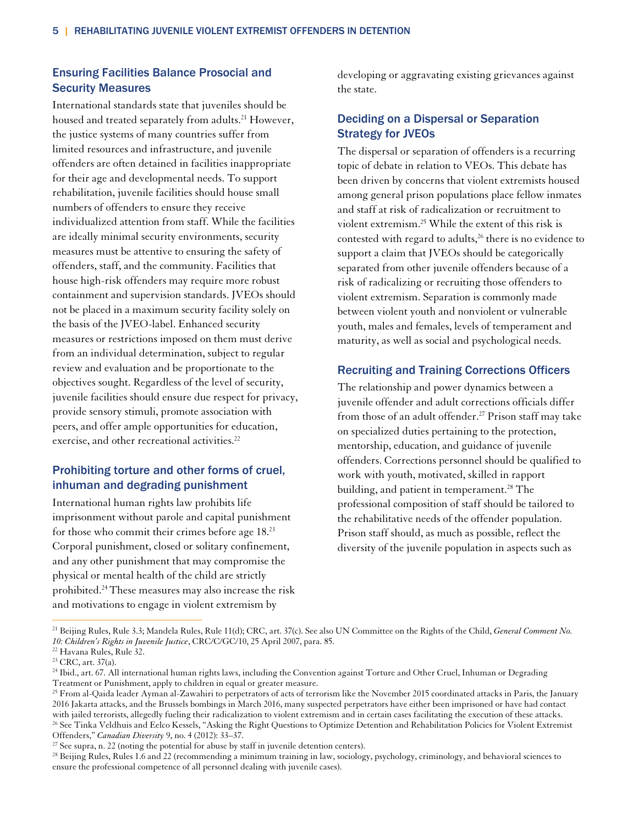## Ensuring Facilities Balance Prosocial and Security Measures

International standards state that juveniles should be housed and treated separately from adults.<sup>21</sup> However, the justice systems of many countries suffer from limited resources and infrastructure, and juvenile offenders are often detained in facilities inappropriate for their age and developmental needs. To support rehabilitation, juvenile facilities should house small numbers of offenders to ensure they receive individualized attention from staff. While the facilities are ideally minimal security environments, security measures must be attentive to ensuring the safety of offenders, staff, and the community. Facilities that house high-risk offenders may require more robust containment and supervision standards. JVEOs should not be placed in a maximum security facility solely on the basis of the JVEO-label. Enhanced security measures or restrictions imposed on them must derive from an individual determination, subject to regular review and evaluation and be proportionate to the objectives sought. Regardless of the level of security, juvenile facilities should ensure due respect for privacy, provide sensory stimuli, promote association with peers, and offer ample opportunities for education, exercise, and other recreational activities.<sup>22</sup>

## Prohibiting torture and other forms of cruel, inhuman and degrading punishment

International human rights law prohibits life imprisonment without parole and capital punishment for those who commit their crimes before age 18.23 Corporal punishment, closed or solitary confinement, and any other punishment that may compromise the physical or mental health of the child are strictly prohibited.24 These measures may also increase the risk and motivations to engage in violent extremism by

developing or aggravating existing grievances against the state.

## Deciding on a Dispersal or Separation Strategy for JVEOs

The dispersal or separation of offenders is a recurring topic of debate in relation to VEOs. This debate has been driven by concerns that violent extremists housed among general prison populations place fellow inmates and staff at risk of radicalization or recruitment to violent extremism.25 While the extent of this risk is contested with regard to adults,<sup>26</sup> there is no evidence to support a claim that JVEOs should be categorically separated from other juvenile offenders because of a risk of radicalizing or recruiting those offenders to violent extremism. Separation is commonly made between violent youth and nonviolent or vulnerable youth, males and females, levels of temperament and maturity, as well as social and psychological needs.

#### Recruiting and Training Corrections Officers

The relationship and power dynamics between a juvenile offender and adult corrections officials differ from those of an adult offender.<sup>27</sup> Prison staff may take on specialized duties pertaining to the protection, mentorship, education, and guidance of juvenile offenders. Corrections personnel should be qualified to work with youth, motivated, skilled in rapport building, and patient in temperament.<sup>28</sup> The professional composition of staff should be tailored to the rehabilitative needs of the offender population. Prison staff should, as much as possible, reflect the diversity of the juvenile population in aspects such as

<sup>21</sup> Beijing Rules, Rule 3.3; Mandela Rules, Rule 11(d); CRC, art. 37(c). See also UN Committee on the Rights of the Child, *General Comment No. 10: Children's Rights in Juvenile Justice*, CRC/C/GC/10, 25 April 2007, para. 85. 22 Havana Rules, Rule 32.

 $23$  CRC, art. 37(a).

<sup>&</sup>lt;sup>24</sup> Ibid., art. 67. All international human rights laws, including the Convention against Torture and Other Cruel, Inhuman or Degrading Treatment or Punishment, apply to children in equal or greater measure.<br><sup>25</sup> From al-Qaida leader Ayman al-Zawahiri to perpetrators of acts of terrorism like the November 2015 coordinated attacks in Paris, the January

<sup>2016</sup> Jakarta attacks, and the Brussels bombings in March 2016, many suspected perpetrators have either been imprisoned or have had contact <sup>26</sup> See Tinka Veldhuis and Eelco Kessels, "Asking the Right Questions to Optimize Detention and Rehabilitation Policies for Violent Extremist

Offenders," *Canadian Diversity* 9, no. 4 (2012): 33–37.<br><sup>27</sup> See supra, n. 22 (noting the potential for abuse by staff in juvenile detention centers).<br><sup>28</sup> Beijing Rules, Rules 1.6 and 22 (recommending a minimum training ensure the professional competence of all personnel dealing with juvenile cases).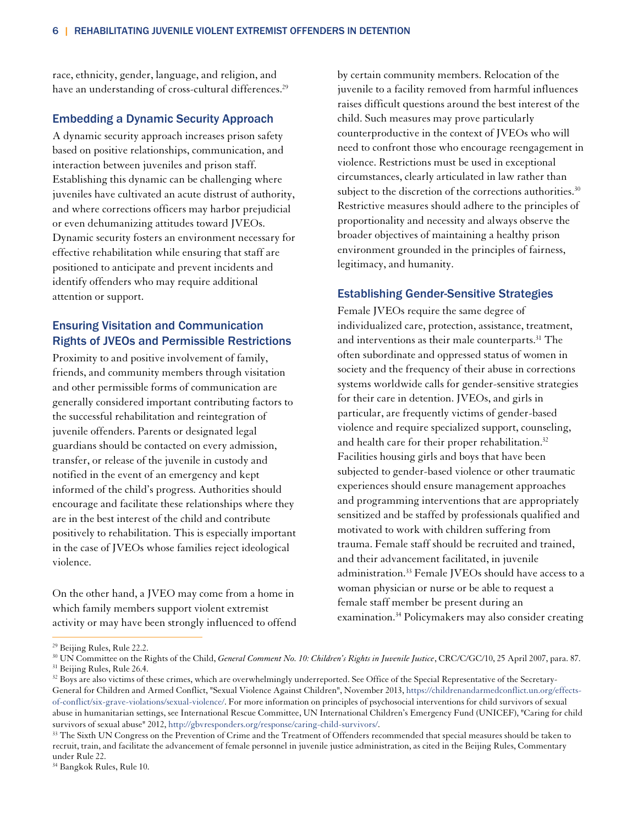race, ethnicity, gender, language, and religion, and have an understanding of cross-cultural differences.<sup>29</sup>

#### Embedding a Dynamic Security Approach

A dynamic security approach increases prison safety based on positive relationships, communication, and interaction between juveniles and prison staff. Establishing this dynamic can be challenging where juveniles have cultivated an acute distrust of authority, and where corrections officers may harbor prejudicial or even dehumanizing attitudes toward JVEOs. Dynamic security fosters an environment necessary for effective rehabilitation while ensuring that staff are positioned to anticipate and prevent incidents and identify offenders who may require additional attention or support.

## Ensuring Visitation and Communication Rights of JVEOs and Permissible Restrictions

Proximity to and positive involvement of family, friends, and community members through visitation and other permissible forms of communication are generally considered important contributing factors to the successful rehabilitation and reintegration of juvenile offenders. Parents or designated legal guardians should be contacted on every admission, transfer, or release of the juvenile in custody and notified in the event of an emergency and kept informed of the child's progress. Authorities should encourage and facilitate these relationships where they are in the best interest of the child and contribute positively to rehabilitation. This is especially important in the case of JVEOs whose families reject ideological violence.

On the other hand, a JVEO may come from a home in which family members support violent extremist activity or may have been strongly influenced to offend by certain community members. Relocation of the juvenile to a facility removed from harmful influences raises difficult questions around the best interest of the child. Such measures may prove particularly counterproductive in the context of JVEOs who will need to confront those who encourage reengagement in violence. Restrictions must be used in exceptional circumstances, clearly articulated in law rather than subject to the discretion of the corrections authorities.<sup>30</sup> Restrictive measures should adhere to the principles of proportionality and necessity and always observe the broader objectives of maintaining a healthy prison environment grounded in the principles of fairness, legitimacy, and humanity.

#### Establishing Gender-Sensitive Strategies

Female JVEOs require the same degree of individualized care, protection, assistance, treatment, and interventions as their male counterparts.<sup>31</sup> The often subordinate and oppressed status of women in society and the frequency of their abuse in corrections systems worldwide calls for gender-sensitive strategies for their care in detention. JVEOs, and girls in particular, are frequently victims of gender-based violence and require specialized support, counseling, and health care for their proper rehabilitation.<sup>32</sup> Facilities housing girls and boys that have been subjected to gender-based violence or other traumatic experiences should ensure management approaches and programming interventions that are appropriately sensitized and be staffed by professionals qualified and motivated to work with children suffering from trauma. Female staff should be recruited and trained, and their advancement facilitated, in juvenile administration.<sup>33</sup> Female JVEOs should have access to a woman physician or nurse or be able to request a female staff member be present during an examination.34 Policymakers may also consider creating

<sup>29</sup> Beijing Rules, Rule 22.2.

<sup>&</sup>lt;sup>30</sup> UN Committee on the Rights of the Child, *General Comment No. 10: Children's Rights in Juvenile Justice*, CRC/C/GC/10, 25 April 2007, para. 87. <sup>31</sup> Beijing Rules, Rule 26.4.

<sup>&</sup>lt;sup>32</sup> Boys are also victims of these crimes, which are overwhelmingly underreported. See Office of the Special Representative of the Secretary-General for Children and Armed Conflict, "Sexual Violence Against Children", November 2013, https://childrenandarmedconflict.un.org/effectsof-conflict/six-grave-violations/sexual-violence/. For more information on principles of psychosocial interventions for child survivors of sexual abuse in humanitarian settings, see International Rescue Committee, UN International Children's Emergency Fund (UNICEF), "Caring for child survivors of sexual abuse" 2012, http://gbvresponders.org/response/caring-child-survivors/.<br><sup>33</sup> The Sixth UN Congress on the Prevention of Crime and the Treatment of Offenders recommended that special measures should be t

recruit, train, and facilitate the advancement of female personnel in juvenile justice administration, as cited in the Beijing Rules, Commentary under Rule 22.

<sup>34</sup> Bangkok Rules, Rule 10.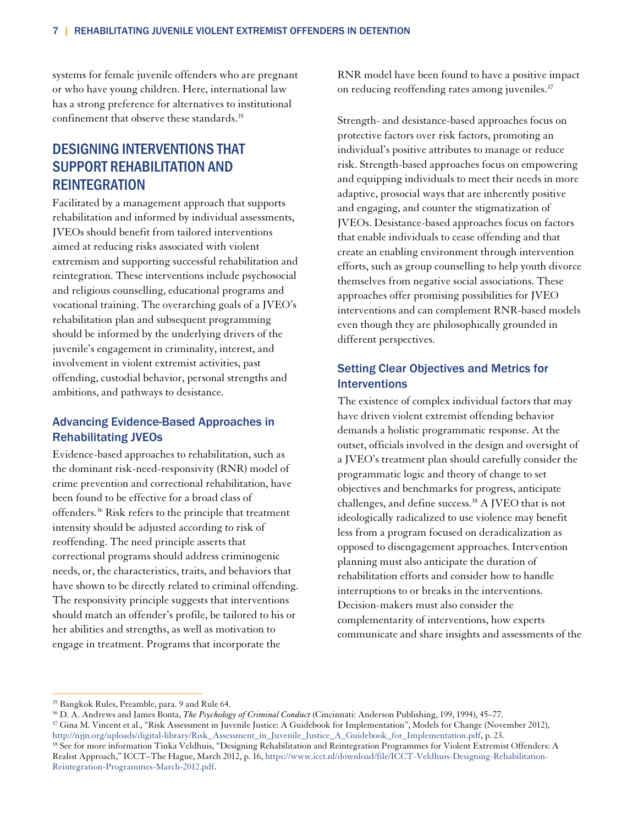systems for female juvenile offenders who are pregnant or who have young children. Here, international law has a strong preference for alternatives to institutional confinement that observe these standards.35

# DESIGNING INTERVENTIONS THAT SUPPORT REHABILITATION AND **REINTEGRATION**

Facilitated by a management approach that supports rehabilitation and informed by individual assessments, JVEOs should benefit from tailored interventions aimed at reducing risks associated with violent extremism and supporting successful rehabilitation and reintegration. These interventions include psychosocial and religious counselling, educational programs and vocational training. The overarching goals of a JVEO's rehabilitation plan and subsequent programming should be informed by the underlying drivers of the juvenile's engagement in criminality, interest, and involvement in violent extremist activities, past offending, custodial behavior, personal strengths and ambitions, and pathways to desistance.

## Advancing Evidence-Based Approaches in Rehabilitating JVEOs

Evidence-based approaches to rehabilitation, such as the dominant risk-need-responsivity (RNR) model of crime prevention and correctional rehabilitation, have been found to be effective for a broad class of offenders.36 Risk refers to the principle that treatment intensity should be adjusted according to risk of reoffending. The need principle asserts that correctional programs should address criminogenic needs, or, the characteristics, traits, and behaviors that have shown to be directly related to criminal offending. The responsivity principle suggests that interventions should match an offender's profile, be tailored to his or her abilities and strengths, as well as motivation to engage in treatment. Programs that incorporate the

RNR model have been found to have a positive impact on reducing reoffending rates among juveniles.<sup>37</sup>

Strength- and desistance-based approaches focus on protective factors over risk factors, promoting an individual's positive attributes to manage or reduce risk. Strength-based approaches focus on empowering and equipping individuals to meet their needs in more adaptive, prosocial ways that are inherently positive and engaging, and counter the stigmatization of JVEOs. Desistance-based approaches focus on factors that enable individuals to cease offending and that create an enabling environment through intervention efforts, such as group counselling to help youth divorce themselves from negative social associations. These approaches offer promising possibilities for JVEO interventions and can complement RNR-based models even though they are philosophically grounded in different perspectives.

## Setting Clear Objectives and Metrics for Interventions

The existence of complex individual factors that may have driven violent extremist offending behavior demands a holistic programmatic response. At the outset, officials involved in the design and oversight of a JVEO's treatment plan should carefully consider the programmatic logic and theory of change to set objectives and benchmarks for progress, anticipate challenges, and define success.38 A JVEO that is not ideologically radicalized to use violence may benefit less from a program focused on deradicalization as opposed to disengagement approaches. Intervention planning must also anticipate the duration of rehabilitation efforts and consider how to handle interruptions to or breaks in the interventions. Decision-makers must also consider the complementarity of interventions, how experts communicate and share insights and assessments of the

 $\overline{a}$ 

<sup>&</sup>lt;sup>35</sup> Bangkok Rules, Preamble, para. 9 and Rule 64.<br><sup>36</sup> D. A. Andrews and James Bonta, *The Psychology of Criminal Conduct* (Cincinnati: Anderson Publishing, 199, 1994), 45–77.

<sup>&</sup>lt;sup>37</sup> Gina M. Vincent et al., "Risk Assessment in Juvenile Justice: A Guidebook for Implementation", Models for Change (November 2012), http://njjn.org/uploads/digital-library/Risk\_Assessment\_in\_Juvenile\_Justice\_A\_Guidebook

<sup>&</sup>lt;sup>38</sup> See for more information Tinka Veldhuis, "Designing Rehabilitation and Reintegration Programmes for Violent Extremist Offenders: A Realist Approach," ICCT–The Hague, March 2012, p. 16, https://www.icct.nl/download/file/ICCT-Veldhuis-Designing-Rehabilitation-Reintegration-Programmes-March-2012.pdf.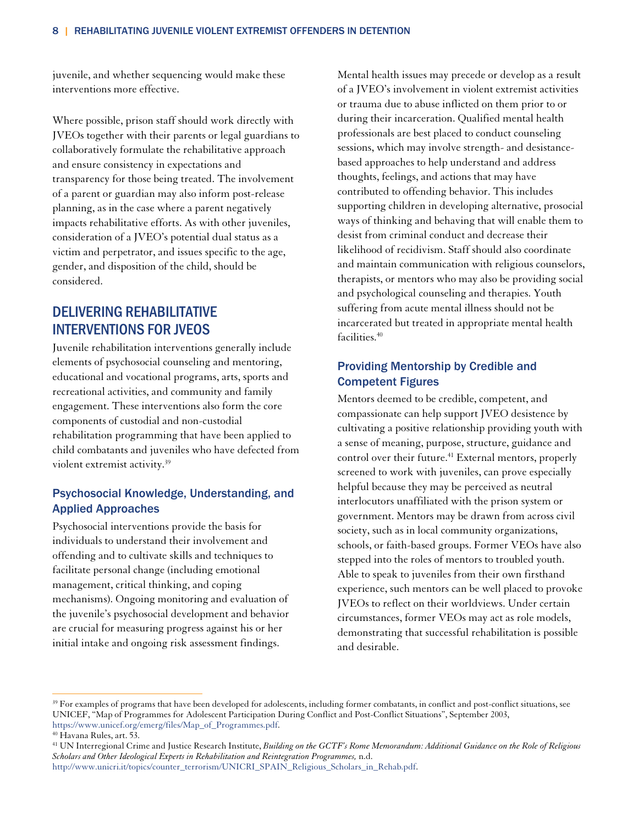juvenile, and whether sequencing would make these interventions more effective.

Where possible, prison staff should work directly with JVEOs together with their parents or legal guardians to collaboratively formulate the rehabilitative approach and ensure consistency in expectations and transparency for those being treated. The involvement of a parent or guardian may also inform post-release planning, as in the case where a parent negatively impacts rehabilitative efforts. As with other juveniles, consideration of a JVEO's potential dual status as a victim and perpetrator, and issues specific to the age, gender, and disposition of the child, should be considered.

## DELIVERING REHABILITATIVE INTERVENTIONS FOR JVEOS

Juvenile rehabilitation interventions generally include elements of psychosocial counseling and mentoring, educational and vocational programs, arts, sports and recreational activities, and community and family engagement. These interventions also form the core components of custodial and non-custodial rehabilitation programming that have been applied to child combatants and juveniles who have defected from violent extremist activity.<sup>39</sup>

## Psychosocial Knowledge, Understanding, and Applied Approaches

Psychosocial interventions provide the basis for individuals to understand their involvement and offending and to cultivate skills and techniques to facilitate personal change (including emotional management, critical thinking, and coping mechanisms). Ongoing monitoring and evaluation of the juvenile's psychosocial development and behavior are crucial for measuring progress against his or her initial intake and ongoing risk assessment findings.

Mental health issues may precede or develop as a result of a JVEO's involvement in violent extremist activities or trauma due to abuse inflicted on them prior to or during their incarceration. Qualified mental health professionals are best placed to conduct counseling sessions, which may involve strength- and desistancebased approaches to help understand and address thoughts, feelings, and actions that may have contributed to offending behavior. This includes supporting children in developing alternative, prosocial ways of thinking and behaving that will enable them to desist from criminal conduct and decrease their likelihood of recidivism. Staff should also coordinate and maintain communication with religious counselors, therapists, or mentors who may also be providing social and psychological counseling and therapies. Youth suffering from acute mental illness should not be incarcerated but treated in appropriate mental health facilities.40

## Providing Mentorship by Credible and Competent Figures

Mentors deemed to be credible, competent, and compassionate can help support JVEO desistence by cultivating a positive relationship providing youth with a sense of meaning, purpose, structure, guidance and control over their future.<sup>41</sup> External mentors, properly screened to work with juveniles, can prove especially helpful because they may be perceived as neutral interlocutors unaffiliated with the prison system or government. Mentors may be drawn from across civil society, such as in local community organizations, schools, or faith-based groups. Former VEOs have also stepped into the roles of mentors to troubled youth. Able to speak to juveniles from their own firsthand experience, such mentors can be well placed to provoke JVEOs to reflect on their worldviews. Under certain circumstances, former VEOs may act as role models, demonstrating that successful rehabilitation is possible and desirable.

<sup>&</sup>lt;sup>39</sup> For examples of programs that have been developed for adolescents, including former combatants, in conflict and post-conflict situations, see UNICEF, "Map of Programmes for Adolescent Participation During Conflict and Post-Conflict Situations", September 2003, https://www.unicef.org/emerg/files/Map\_of\_Programmes.pdf. 40 Havana Rules, art. 53.

<sup>41</sup> UN Interregional Crime and Justice Research Institute, *Building on the GCTF's Rome Memorandum: Additional Guidance on the Role of Religious Scholars and Other Ideological Experts in Rehabilitation and Reintegration Programmes,* n.d.

http://www.unicri.it/topics/counter\_terrorism/UNICRI\_SPAIN\_Religious\_Scholars\_in\_Rehab.pdf.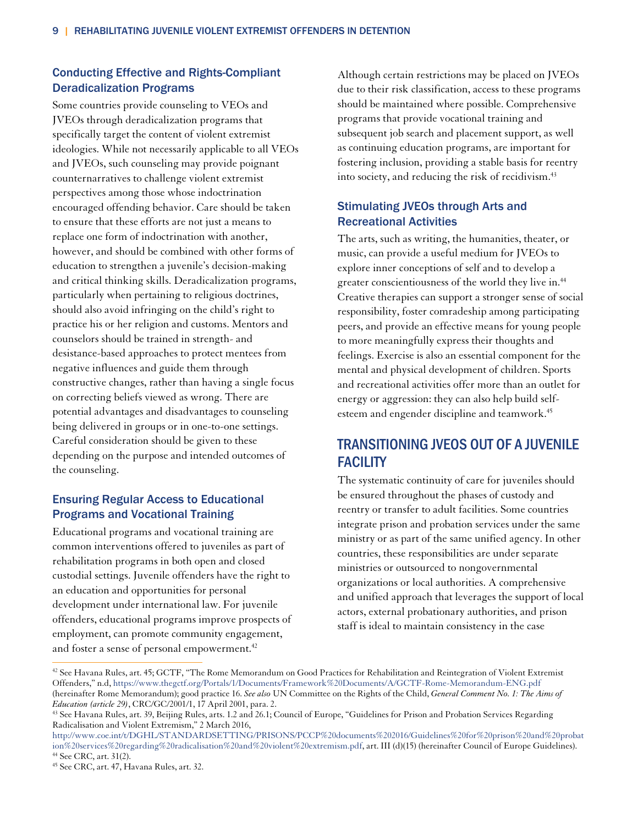## Conducting Effective and Rights-Compliant Deradicalization Programs

Some countries provide counseling to VEOs and JVEOs through deradicalization programs that specifically target the content of violent extremist ideologies. While not necessarily applicable to all VEOs and JVEOs, such counseling may provide poignant counternarratives to challenge violent extremist perspectives among those whose indoctrination encouraged offending behavior. Care should be taken to ensure that these efforts are not just a means to replace one form of indoctrination with another, however, and should be combined with other forms of education to strengthen a juvenile's decision-making and critical thinking skills. Deradicalization programs, particularly when pertaining to religious doctrines, should also avoid infringing on the child's right to practice his or her religion and customs. Mentors and counselors should be trained in strength- and desistance-based approaches to protect mentees from negative influences and guide them through constructive changes, rather than having a single focus on correcting beliefs viewed as wrong. There are potential advantages and disadvantages to counseling being delivered in groups or in one-to-one settings. Careful consideration should be given to these depending on the purpose and intended outcomes of the counseling.

## Ensuring Regular Access to Educational Programs and Vocational Training

Educational programs and vocational training are common interventions offered to juveniles as part of rehabilitation programs in both open and closed custodial settings. Juvenile offenders have the right to an education and opportunities for personal development under international law. For juvenile offenders, educational programs improve prospects of employment, can promote community engagement, and foster a sense of personal empowerment.<sup>42</sup>

Although certain restrictions may be placed on JVEOs due to their risk classification, access to these programs should be maintained where possible. Comprehensive programs that provide vocational training and subsequent job search and placement support, as well as continuing education programs, are important for fostering inclusion, providing a stable basis for reentry into society, and reducing the risk of recidivism.<sup>43</sup>

## Stimulating JVEOs through Arts and Recreational Activities

The arts, such as writing, the humanities, theater, or music, can provide a useful medium for JVEOs to explore inner conceptions of self and to develop a greater conscientiousness of the world they live in.<sup>44</sup> Creative therapies can support a stronger sense of social responsibility, foster comradeship among participating peers, and provide an effective means for young people to more meaningfully express their thoughts and feelings. Exercise is also an essential component for the mental and physical development of children. Sports and recreational activities offer more than an outlet for energy or aggression: they can also help build selfesteem and engender discipline and teamwork.<sup>45</sup>

# TRANSITIONING JVEOS OUT OF A JUVENILE **FACILITY**

The systematic continuity of care for juveniles should be ensured throughout the phases of custody and reentry or transfer to adult facilities. Some countries integrate prison and probation services under the same ministry or as part of the same unified agency. In other countries, these responsibilities are under separate ministries or outsourced to nongovernmental organizations or local authorities. A comprehensive and unified approach that leverages the support of local actors, external probationary authorities, and prison staff is ideal to maintain consistency in the case

 $42$  See Havana Rules, art. 45; GCTF, "The Rome Memorandum on Good Practices for Rehabilitation and Reintegration of Violent Extremist Offenders," n.d, https://www.thegctf.org/Portals/1/Documents/Framework%20Documents/A/GCTF-Rome-Memorandum-ENG.pdf (hereinafter Rome Memorandum); good practice 16. *See also* UN Committee on the Rights of the Child, *General Comment No. 1: The Aims of* 

<sup>&</sup>lt;sup>43</sup> See Havana Rules, art. 39, Beijing Rules, arts. 1.2 and 26.1; Council of Europe, "Guidelines for Prison and Probation Services Regarding Radicalisation and Violent Extremism," 2 March 2016,

http://www.coe.int/t/DGHL/STANDARDSETTING/PRISONS/PCCP%20documents%202016/Guidelines%20for%20prison%20and%20probat ion%20services%20regarding%20radicalisation%20and%20violent%20extremism.pdf, art. III (d)(15) (hereinafter Council of Europe Guidelines). 44 See CRC, art. 31(2).

<sup>45</sup> See CRC, art. 47, Havana Rules, art. 32.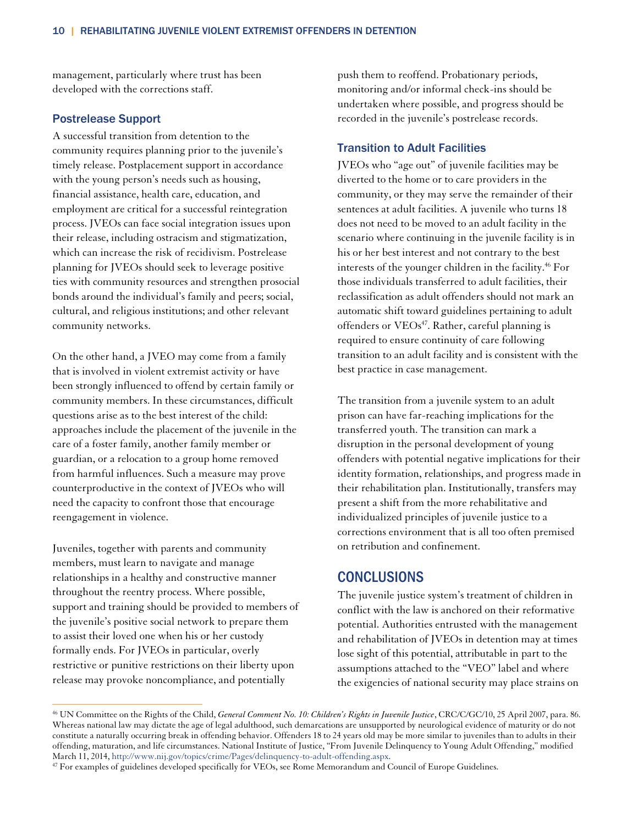management, particularly where trust has been developed with the corrections staff.

#### Postrelease Support

A successful transition from detention to the community requires planning prior to the juvenile's timely release. Postplacement support in accordance with the young person's needs such as housing, financial assistance, health care, education, and employment are critical for a successful reintegration process. JVEOs can face social integration issues upon their release, including ostracism and stigmatization, which can increase the risk of recidivism. Postrelease planning for JVEOs should seek to leverage positive ties with community resources and strengthen prosocial bonds around the individual's family and peers; social, cultural, and religious institutions; and other relevant community networks.

On the other hand, a JVEO may come from a family that is involved in violent extremist activity or have been strongly influenced to offend by certain family or community members. In these circumstances, difficult questions arise as to the best interest of the child: approaches include the placement of the juvenile in the care of a foster family, another family member or guardian, or a relocation to a group home removed from harmful influences. Such a measure may prove counterproductive in the context of JVEOs who will need the capacity to confront those that encourage reengagement in violence.

Juveniles, together with parents and community members, must learn to navigate and manage relationships in a healthy and constructive manner throughout the reentry process. Where possible, support and training should be provided to members of the juvenile's positive social network to prepare them to assist their loved one when his or her custody formally ends. For JVEOs in particular, overly restrictive or punitive restrictions on their liberty upon release may provoke noncompliance, and potentially

 $\overline{a}$ 

push them to reoffend. Probationary periods, monitoring and/or informal check-ins should be undertaken where possible, and progress should be recorded in the juvenile's postrelease records.

#### Transition to Adult Facilities

JVEOs who "age out" of juvenile facilities may be diverted to the home or to care providers in the community, or they may serve the remainder of their sentences at adult facilities. A juvenile who turns 18 does not need to be moved to an adult facility in the scenario where continuing in the juvenile facility is in his or her best interest and not contrary to the best interests of the younger children in the facility.<sup>46</sup> For those individuals transferred to adult facilities, their reclassification as adult offenders should not mark an automatic shift toward guidelines pertaining to adult offenders or VEOs<sup>47</sup>. Rather, careful planning is required to ensure continuity of care following transition to an adult facility and is consistent with the best practice in case management.

The transition from a juvenile system to an adult prison can have far-reaching implications for the transferred youth. The transition can mark a disruption in the personal development of young offenders with potential negative implications for their identity formation, relationships, and progress made in their rehabilitation plan. Institutionally, transfers may present a shift from the more rehabilitative and individualized principles of juvenile justice to a corrections environment that is all too often premised on retribution and confinement.

## **CONCLUSIONS**

The juvenile justice system's treatment of children in conflict with the law is anchored on their reformative potential. Authorities entrusted with the management and rehabilitation of JVEOs in detention may at times lose sight of this potential, attributable in part to the assumptions attached to the "VEO" label and where the exigencies of national security may place strains on

<sup>46</sup> UN Committee on the Rights of the Child, *General Comment No. 10: Children's Rights in Juvenile Justice*, CRC/C/GC/10, 25 April 2007, para. 86. Whereas national law may dictate the age of legal adulthood, such demarcations are unsupported by neurological evidence of maturity or do not constitute a naturally occurring break in offending behavior. Offenders 18 to 24 years old may be more similar to juveniles than to adults in their offending, maturation, and life circumstances. National Institute of Justice, "From Juvenile Delinquency to Young Adult Offending," modified

<sup>&</sup>lt;sup>47</sup> For examples of guidelines developed specifically for VEOs, see Rome Memorandum and Council of Europe Guidelines.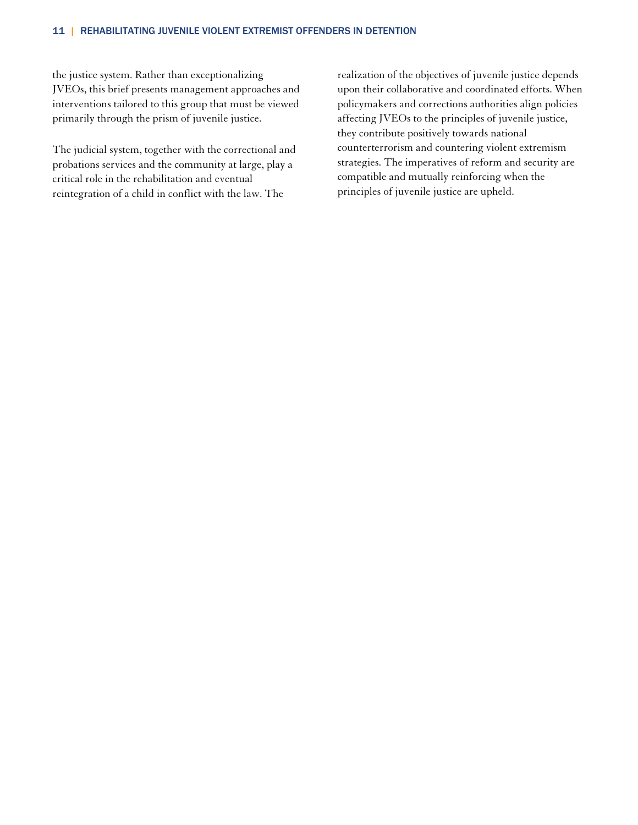#### 11 | REHABILITATING JUVENILE VIOLENT EXTREMIST OFFENDERS IN DETENTION

the justice system. Rather than exceptionalizing JVEOs, this brief presents management approaches and interventions tailored to this group that must be viewed primarily through the prism of juvenile justice.

The judicial system, together with the correctional and probations services and the community at large, play a critical role in the rehabilitation and eventual reintegration of a child in conflict with the law. The

realization of the objectives of juvenile justice depends upon their collaborative and coordinated efforts. When policymakers and corrections authorities align policies affecting JVEOs to the principles of juvenile justice, they contribute positively towards national counterterrorism and countering violent extremism strategies. The imperatives of reform and security are compatible and mutually reinforcing when the principles of juvenile justice are upheld.